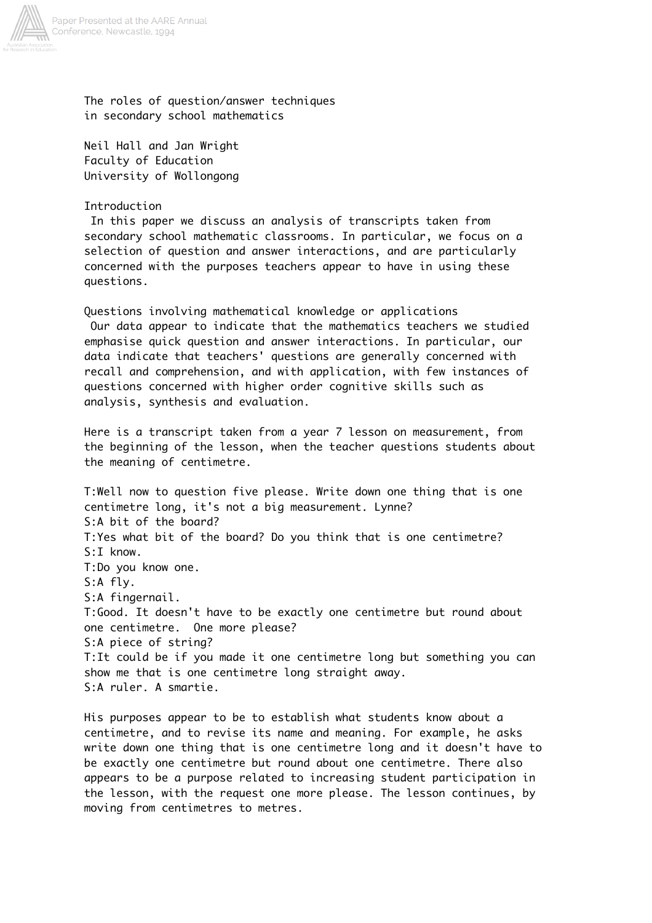

The roles of question/answer techniques in secondary school mathematics

Neil Hall and Jan Wright Faculty of Education University of Wollongong

Introduction

 In this paper we discuss an analysis of transcripts taken from secondary school mathematic classrooms. In particular, we focus on a selection of question and answer interactions, and are particularly concerned with the purposes teachers appear to have in using these questions.

Questions involving mathematical knowledge or applications Our data appear to indicate that the mathematics teachers we studied emphasise quick question and answer interactions. In particular, our data indicate that teachers' questions are generally concerned with recall and comprehension, and with application, with few instances of questions concerned with higher order cognitive skills such as analysis, synthesis and evaluation.

Here is a transcript taken from a year 7 lesson on measurement, from the beginning of the lesson, when the teacher questions students about the meaning of centimetre.

T:Well now to question five please. Write down one thing that is one centimetre long, it's not a big measurement. Lynne? S:A bit of the board? T:Yes what bit of the board? Do you think that is one centimetre? S:I know. T:Do you know one. S:A fly. S:A fingernail. T:Good. It doesn't have to be exactly one centimetre but round about one centimetre. One more please? S:A piece of string? T:It could be if you made it one centimetre long but something you can show me that is one centimetre long straight away. S:A ruler. A smartie.

His purposes appear to be to establish what students know about a centimetre, and to revise its name and meaning. For example, he asks write down one thing that is one centimetre long and it doesn't have to be exactly one centimetre but round about one centimetre. There also appears to be a purpose related to increasing student participation in the lesson, with the request one more please. The lesson continues, by moving from centimetres to metres.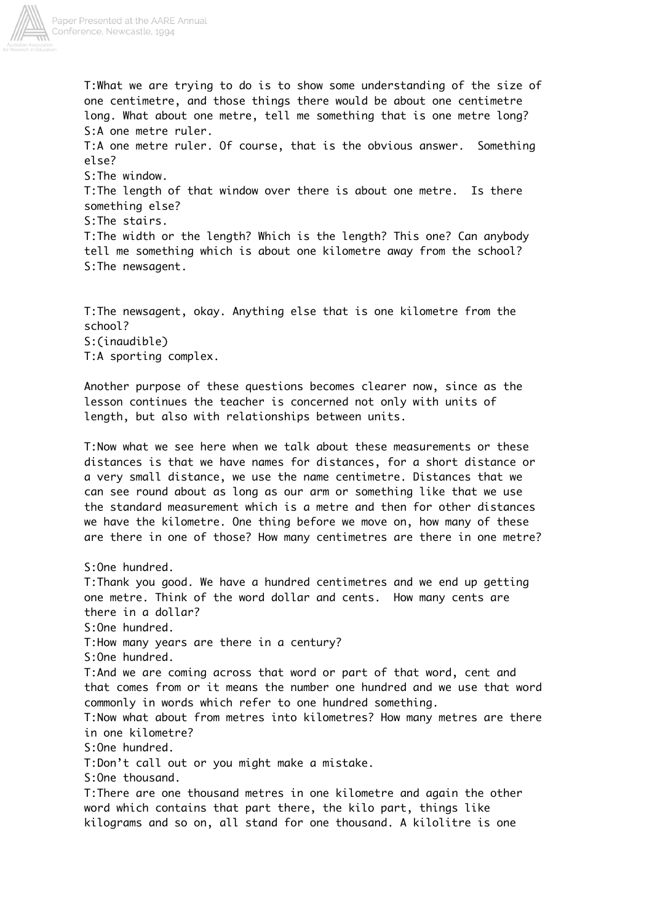

T:What we are trying to do is to show some understanding of the size of one centimetre, and those things there would be about one centimetre long. What about one metre, tell me something that is one metre long? S:A one metre ruler. T:A one metre ruler. Of course, that is the obvious answer. Something else? S:The window. T:The length of that window over there is about one metre. Is there something else? S:The stairs. T:The width or the length? Which is the length? This one? Can anybody tell me something which is about one kilometre away from the school? S:The newsagent.

T:The newsagent, okay. Anything else that is one kilometre from the school? S:(inaudible) T:A sporting complex.

Another purpose of these questions becomes clearer now, since as the lesson continues the teacher is concerned not only with units of length, but also with relationships between units.

T:Now what we see here when we talk about these measurements or these distances is that we have names for distances, for a short distance or a very small distance, we use the name centimetre. Distances that we can see round about as long as our arm or something like that we use the standard measurement which is a metre and then for other distances we have the kilometre. One thing before we move on, how many of these are there in one of those? How many centimetres are there in one metre?

S:One hundred. T:Thank you good. We have a hundred centimetres and we end up getting one metre. Think of the word dollar and cents. How many cents are there in a dollar? S:One hundred. T:How many years are there in a century? S:One hundred. T:And we are coming across that word or part of that word, cent and that comes from or it means the number one hundred and we use that word commonly in words which refer to one hundred something. T:Now what about from metres into kilometres? How many metres are there in one kilometre? S:One hundred. T:Don't call out or you might make a mistake. S:One thousand. T:There are one thousand metres in one kilometre and again the other word which contains that part there, the kilo part, things like kilograms and so on, all stand for one thousand. A kilolitre is one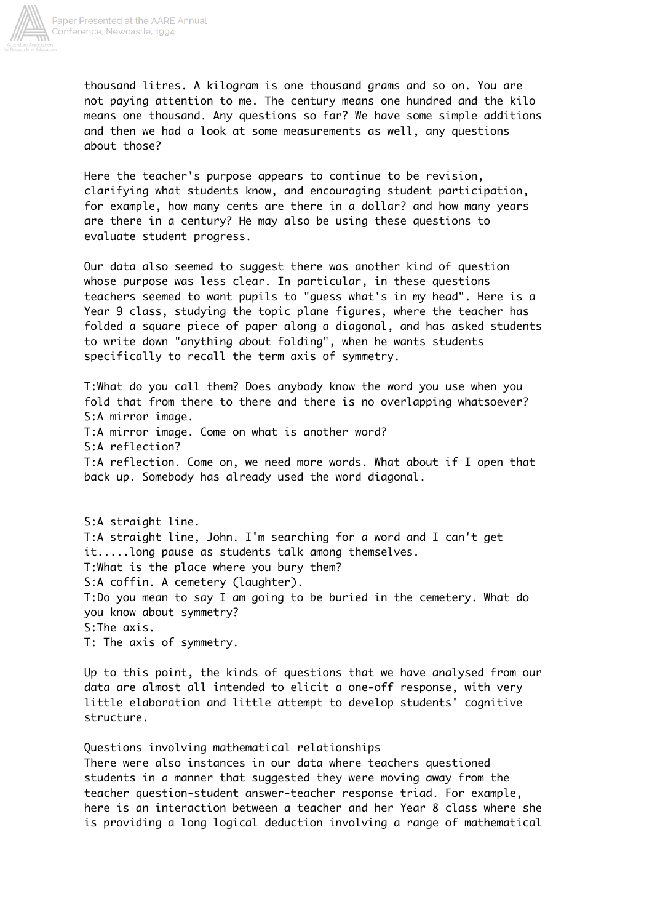

thousand litres. A kilogram is one thousand grams and so on. You are not paying attention to me. The century means one hundred and the kilo means one thousand. Any questions so far? We have some simple additions and then we had a look at some measurements as well, any questions about those?

Here the teacher's purpose appears to continue to be revision, clarifying what students know, and encouraging student participation, for example, how many cents are there in a dollar? and how many years are there in a century? He may also be using these questions to evaluate student progress.

Our data also seemed to suggest there was another kind of question whose purpose was less clear. In particular, in these questions teachers seemed to want pupils to "guess what's in my head". Here is a Year 9 class, studying the topic plane figures, where the teacher has folded a square piece of paper along a diagonal, and has asked students to write down "anything about folding", when he wants students specifically to recall the term axis of symmetry.

T:What do you call them? Does anybody know the word you use when you fold that from there to there and there is no overlapping whatsoever? S:A mirror image. T:A mirror image. Come on what is another word? S:A reflection? T:A reflection. Come on, we need more words. What about if I open that back up. Somebody has already used the word diagonal.

S:A straight line. T:A straight line, John. I'm searching for a word and I can't get it.....long pause as students talk among themselves. T:What is the place where you bury them? S:A coffin. A cemetery (laughter). T:Do you mean to say I am going to be buried in the cemetery. What do you know about symmetry? S:The axis. T: The axis of symmetry.

Up to this point, the kinds of questions that we have analysed from our data are almost all intended to elicit a one-off response, with very little elaboration and little attempt to develop students' cognitive structure.

Questions involving mathematical relationships There were also instances in our data where teachers questioned students in a manner that suggested they were moving away from the teacher question-student answer-teacher response triad. For example, here is an interaction between a teacher and her Year 8 class where she is providing a long logical deduction involving a range of mathematical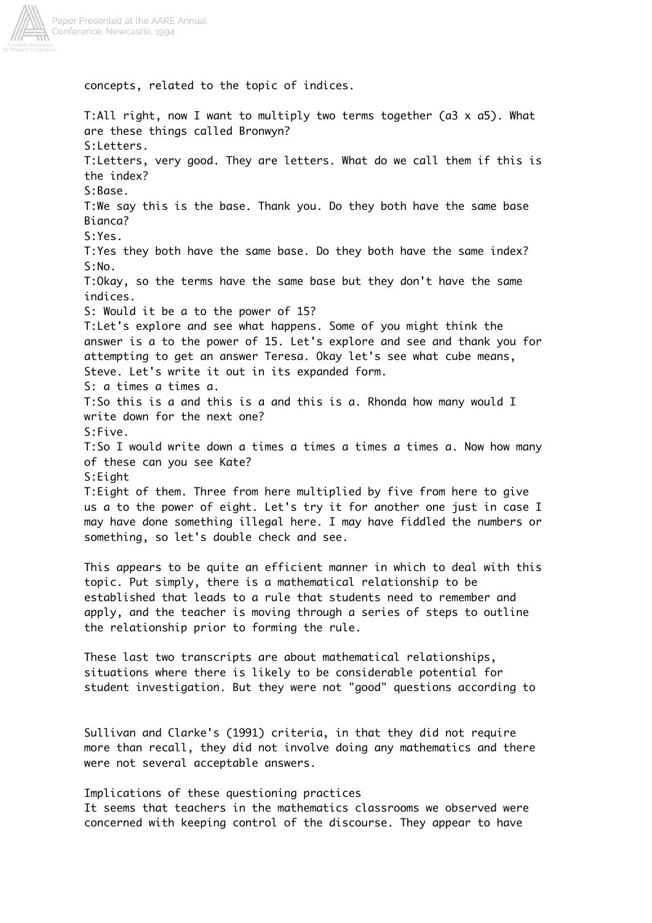

concepts, related to the topic of indices.

T:All right, now I want to multiply two terms together (a3 x a5). What are these things called Bronwyn? S:Letters. T:Letters, very good. They are letters. What do we call them if this is the index? S:Base. T:We say this is the base. Thank you. Do they both have the same base Bianca? S:Yes. T:Yes they both have the same base. Do they both have the same index? S:No. T:Okay, so the terms have the same base but they don't have the same indices. S: Would it be a to the power of 15? T:Let's explore and see what happens. Some of you might think the answer is a to the power of 15. Let's explore and see and thank you for attempting to get an answer Teresa. Okay let's see what cube means, Steve. Let's write it out in its expanded form. S: a times a times a. T:So this is a and this is a and this is a. Rhonda how many would I write down for the next one? S:Five. T:So I would write down a times a times a times a times a. Now how many of these can you see Kate? S:Eight T:Eight of them. Three from here multiplied by five from here to give us a to the power of eight. Let's try it for another one just in case I may have done something illegal here. I may have fiddled the numbers or something, so let's double check and see. This appears to be quite an efficient manner in which to deal with this topic. Put simply, there is a mathematical relationship to be established that leads to a rule that students need to remember and apply, and the teacher is moving through a series of steps to outline the relationship prior to forming the rule. These last two transcripts are about mathematical relationships, situations where there is likely to be considerable potential for student investigation. But they were not "good" questions according to Sullivan and Clarke's (1991) criteria, in that they did not require more than recall, they did not involve doing any mathematics and there were not several acceptable answers.

Implications of these questioning practices It seems that teachers in the mathematics classrooms we observed were concerned with keeping control of the discourse. They appear to have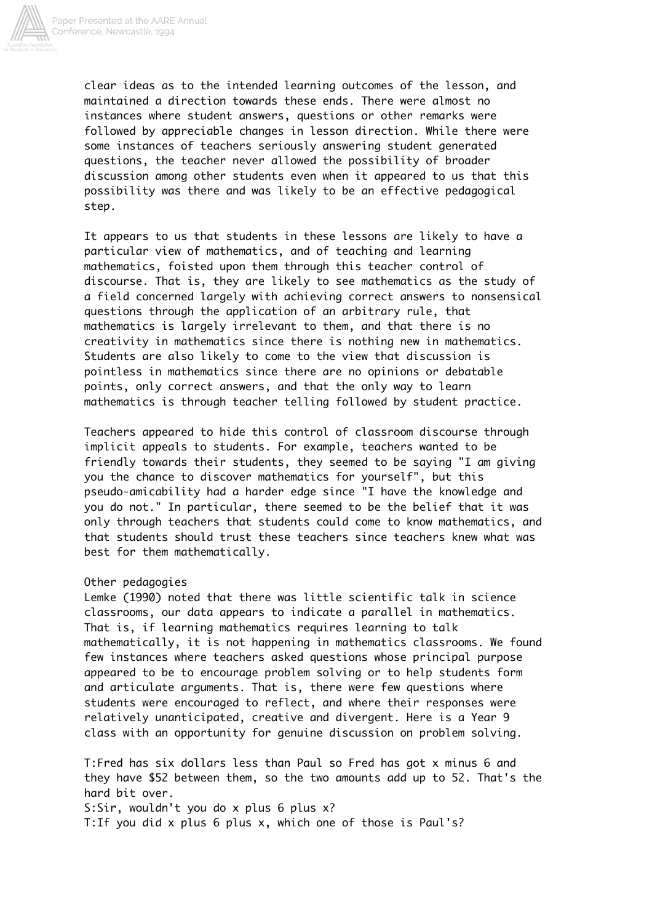

clear ideas as to the intended learning outcomes of the lesson, and maintained a direction towards these ends. There were almost no instances where student answers, questions or other remarks were followed by appreciable changes in lesson direction. While there were some instances of teachers seriously answering student generated questions, the teacher never allowed the possibility of broader discussion among other students even when it appeared to us that this possibility was there and was likely to be an effective pedagogical step.

It appears to us that students in these lessons are likely to have a particular view of mathematics, and of teaching and learning mathematics, foisted upon them through this teacher control of discourse. That is, they are likely to see mathematics as the study of a field concerned largely with achieving correct answers to nonsensical questions through the application of an arbitrary rule, that mathematics is largely irrelevant to them, and that there is no creativity in mathematics since there is nothing new in mathematics. Students are also likely to come to the view that discussion is pointless in mathematics since there are no opinions or debatable points, only correct answers, and that the only way to learn mathematics is through teacher telling followed by student practice.

Teachers appeared to hide this control of classroom discourse through implicit appeals to students. For example, teachers wanted to be friendly towards their students, they seemed to be saying "I am giving you the chance to discover mathematics for yourself", but this pseudo-amicability had a harder edge since "I have the knowledge and you do not." In particular, there seemed to be the belief that it was only through teachers that students could come to know mathematics, and that students should trust these teachers since teachers knew what was best for them mathematically.

## Other pedagogies

Lemke (1990) noted that there was little scientific talk in science classrooms, our data appears to indicate a parallel in mathematics. That is, if learning mathematics requires learning to talk mathematically, it is not happening in mathematics classrooms. We found few instances where teachers asked questions whose principal purpose appeared to be to encourage problem solving or to help students form and articulate arguments. That is, there were few questions where students were encouraged to reflect, and where their responses were relatively unanticipated, creative and divergent. Here is a Year 9 class with an opportunity for genuine discussion on problem solving.

T:Fred has six dollars less than Paul so Fred has got x minus 6 and they have \$52 between them, so the two amounts add up to 52. That's the hard bit over.

S: Sir, wouldn't you do x plus 6 plus x? T:If you did x plus 6 plus x, which one of those is Paul's?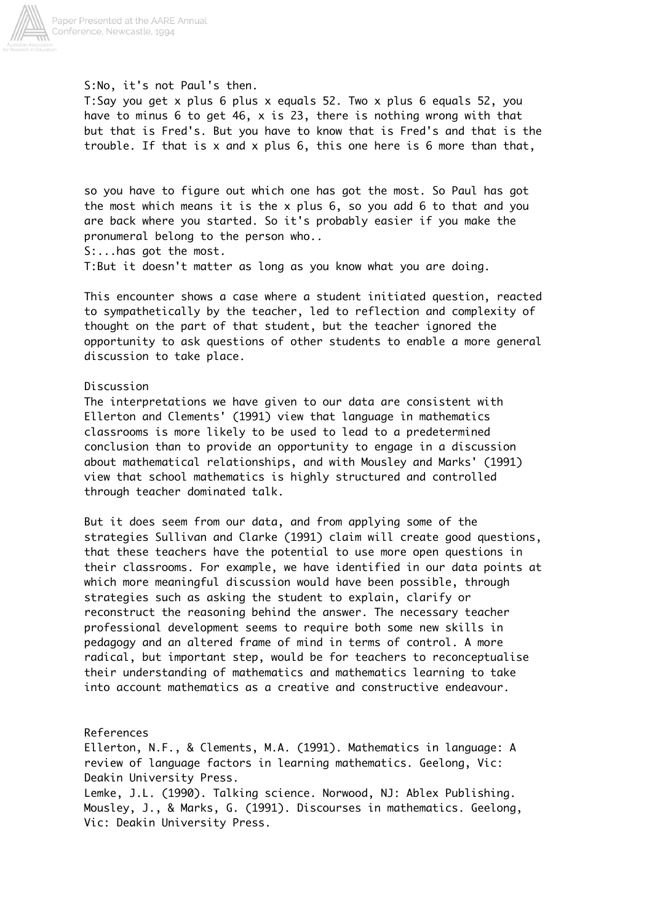

S:No, it's not Paul's then.

T:Say you get x plus 6 plus x equals 52. Two x plus 6 equals 52, you have to minus 6 to get 46, x is 23, there is nothing wrong with that but that is Fred's. But you have to know that is Fred's and that is the trouble. If that is x and x plus 6, this one here is 6 more than that,

so you have to figure out which one has got the most. So Paul has got the most which means it is the x plus 6, so you add 6 to that and you are back where you started. So it's probably easier if you make the pronumeral belong to the person who.. S:...has got the most. T:But it doesn't matter as long as you know what you are doing.

This encounter shows a case where a student initiated question, reacted to sympathetically by the teacher, led to reflection and complexity of thought on the part of that student, but the teacher ignored the opportunity to ask questions of other students to enable a more general discussion to take place.

## Discussion

The interpretations we have given to our data are consistent with Ellerton and Clements' (1991) view that language in mathematics classrooms is more likely to be used to lead to a predetermined conclusion than to provide an opportunity to engage in a discussion about mathematical relationships, and with Mousley and Marks' (1991) view that school mathematics is highly structured and controlled through teacher dominated talk.

But it does seem from our data, and from applying some of the strategies Sullivan and Clarke (1991) claim will create good questions, that these teachers have the potential to use more open questions in their classrooms. For example, we have identified in our data points at which more meaningful discussion would have been possible, through strategies such as asking the student to explain, clarify or reconstruct the reasoning behind the answer. The necessary teacher professional development seems to require both some new skills in pedagogy and an altered frame of mind in terms of control. A more radical, but important step, would be for teachers to reconceptualise their understanding of mathematics and mathematics learning to take into account mathematics as a creative and constructive endeavour.

## References

Ellerton, N.F., & Clements, M.A. (1991). Mathematics in language: A review of language factors in learning mathematics. Geelong, Vic: Deakin University Press.

Lemke, J.L. (1990). Talking science. Norwood, NJ: Ablex Publishing. Mousley, J., & Marks, G. (1991). Discourses in mathematics. Geelong, Vic: Deakin University Press.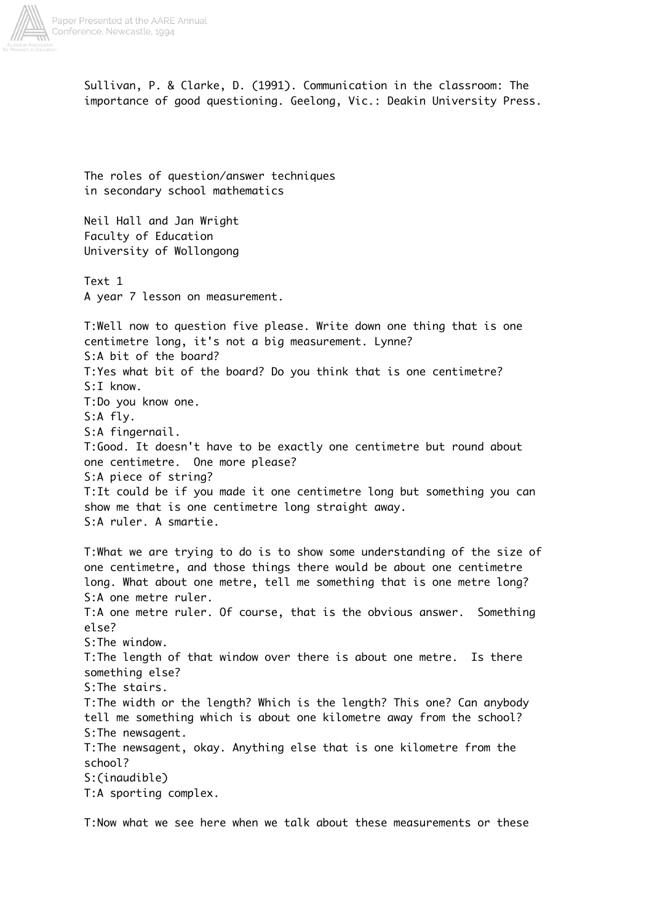

Sullivan, P. & Clarke, D. (1991). Communication in the classroom: The importance of good questioning. Geelong, Vic.: Deakin University Press.

The roles of question/answer techniques in secondary school mathematics

Neil Hall and Jan Wright Faculty of Education University of Wollongong

Text 1 A year 7 lesson on measurement.

T:Well now to question five please. Write down one thing that is one centimetre long, it's not a big measurement. Lynne? S:A bit of the board? T:Yes what bit of the board? Do you think that is one centimetre? S:I know. T:Do you know one. S:A fly. S:A fingernail. T:Good. It doesn't have to be exactly one centimetre but round about one centimetre. One more please? S:A piece of string? T:It could be if you made it one centimetre long but something you can show me that is one centimetre long straight away. S:A ruler. A smartie.

T:What we are trying to do is to show some understanding of the size of one centimetre, and those things there would be about one centimetre long. What about one metre, tell me something that is one metre long? S:A one metre ruler. T:A one metre ruler. Of course, that is the obvious answer. Something else? S:The window. T:The length of that window over there is about one metre. Is there something else? S:The stairs. T:The width or the length? Which is the length? This one? Can anybody tell me something which is about one kilometre away from the school? S:The newsagent. T:The newsagent, okay. Anything else that is one kilometre from the school? S:(inaudible) T:A sporting complex.

T:Now what we see here when we talk about these measurements or these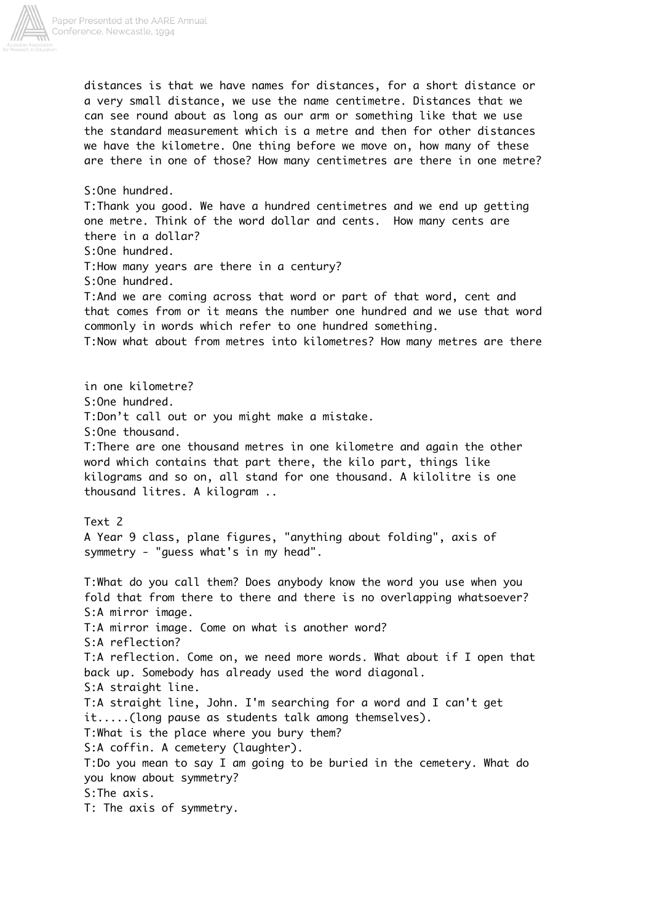

distances is that we have names for distances, for a short distance or a very small distance, we use the name centimetre. Distances that we can see round about as long as our arm or something like that we use the standard measurement which is a metre and then for other distances we have the kilometre. One thing before we move on, how many of these are there in one of those? How many centimetres are there in one metre? S:One hundred. T:Thank you good. We have a hundred centimetres and we end up getting one metre. Think of the word dollar and cents. How many cents are there in a dollar? S:One hundred. T:How many years are there in a century? S:One hundred. T:And we are coming across that word or part of that word, cent and that comes from or it means the number one hundred and we use that word commonly in words which refer to one hundred something. T:Now what about from metres into kilometres? How many metres are there in one kilometre? S:One hundred. T:Don't call out or you might make a mistake. S:One thousand. T:There are one thousand metres in one kilometre and again the other word which contains that part there, the kilo part, things like kilograms and so on, all stand for one thousand. A kilolitre is one thousand litres. A kilogram .. Text 2 A Year 9 class, plane figures, "anything about folding", axis of symmetry - "guess what's in my head". T:What do you call them? Does anybody know the word you use when you fold that from there to there and there is no overlapping whatsoever? S:A mirror image. T:A mirror image. Come on what is another word? S:A reflection? T:A reflection. Come on, we need more words. What about if I open that back up. Somebody has already used the word diagonal. S:A straight line. T:A straight line, John. I'm searching for a word and I can't get it.....(long pause as students talk among themselves). T:What is the place where you bury them? S:A coffin. A cemetery (laughter). T:Do you mean to say I am going to be buried in the cemetery. What do you know about symmetry? S:The axis. T: The axis of symmetry.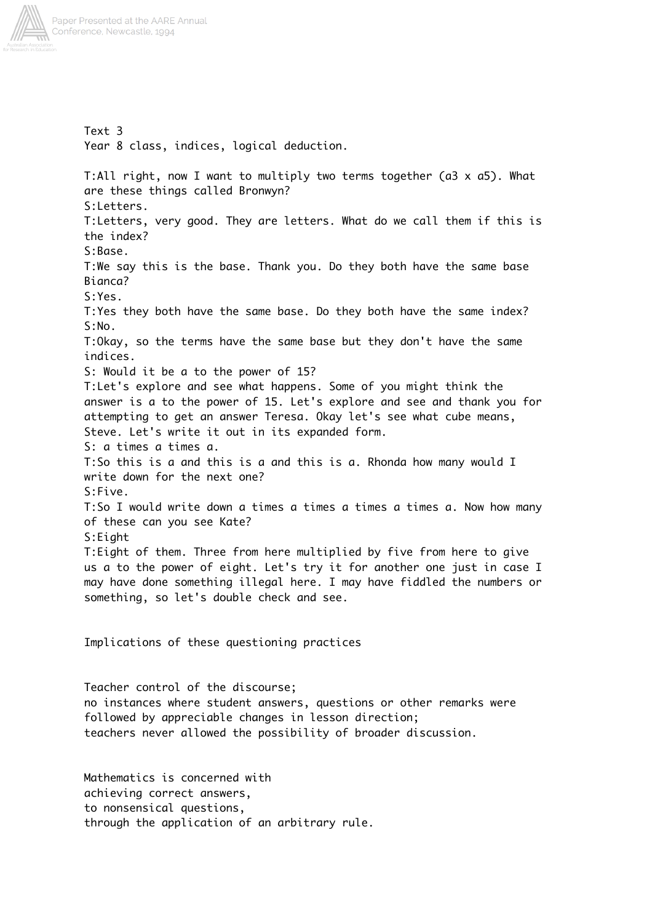

Text 3 Year 8 class, indices, logical deduction. T:All right, now I want to multiply two terms together (a3 x a5). What are these things called Bronwyn? S:Letters. T:Letters, very good. They are letters. What do we call them if this is the index? S:Base. T:We say this is the base. Thank you. Do they both have the same base Bianca? S:Yes. T:Yes they both have the same base. Do they both have the same index? S:No. T:Okay, so the terms have the same base but they don't have the same indices. S: Would it be a to the power of 15? T:Let's explore and see what happens. Some of you might think the answer is a to the power of 15. Let's explore and see and thank you for attempting to get an answer Teresa. Okay let's see what cube means, Steve. Let's write it out in its expanded form. S: a times a times a. T:So this is a and this is a and this is a. Rhonda how many would I write down for the next one? S:Five. T:So I would write down a times a times a times a times a. Now how many of these can you see Kate? S:Eight T:Eight of them. Three from here multiplied by five from here to give us a to the power of eight. Let's try it for another one just in case I may have done something illegal here. I may have fiddled the numbers or something, so let's double check and see. Implications of these questioning practices

Teacher control of the discourse; no instances where student answers, questions or other remarks were followed by appreciable changes in lesson direction; teachers never allowed the possibility of broader discussion.

Mathematics is concerned with achieving correct answers, to nonsensical questions, through the application of an arbitrary rule.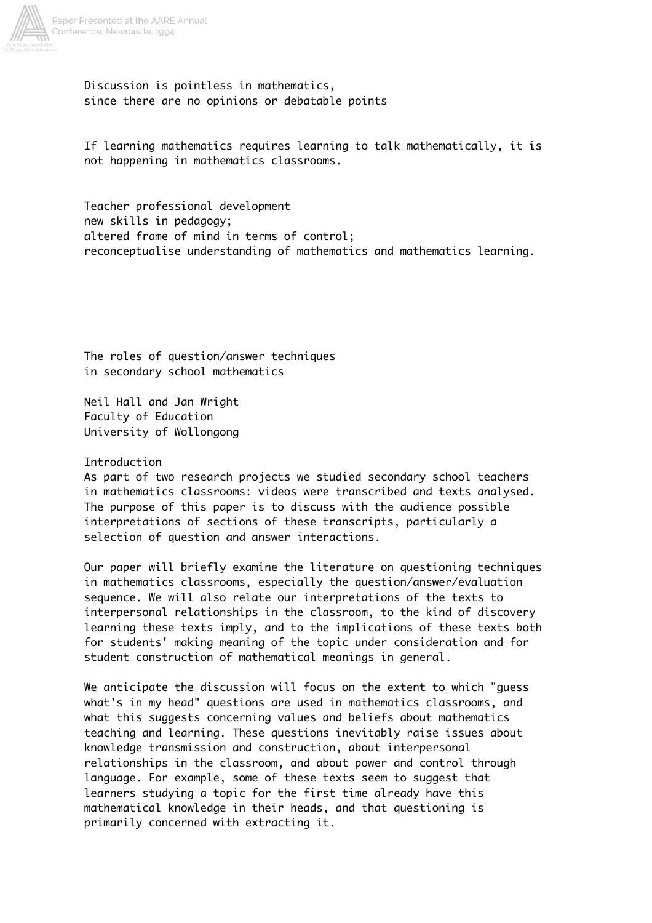

Discussion is pointless in mathematics, since there are no opinions or debatable points

If learning mathematics requires learning to talk mathematically, it is not happening in mathematics classrooms.

Teacher professional development new skills in pedagogy; altered frame of mind in terms of control; reconceptualise understanding of mathematics and mathematics learning.

The roles of question/answer techniques in secondary school mathematics

Neil Hall and Jan Wright Faculty of Education University of Wollongong

## Introduction

As part of two research projects we studied secondary school teachers in mathematics classrooms: videos were transcribed and texts analysed. The purpose of this paper is to discuss with the audience possible interpretations of sections of these transcripts, particularly a selection of question and answer interactions.

Our paper will briefly examine the literature on questioning techniques in mathematics classrooms, especially the question/answer/evaluation sequence. We will also relate our interpretations of the texts to interpersonal relationships in the classroom, to the kind of discovery learning these texts imply, and to the implications of these texts both for students' making meaning of the topic under consideration and for student construction of mathematical meanings in general.

We anticipate the discussion will focus on the extent to which "guess what's in my head" questions are used in mathematics classrooms, and what this suggests concerning values and beliefs about mathematics teaching and learning. These questions inevitably raise issues about knowledge transmission and construction, about interpersonal relationships in the classroom, and about power and control through language. For example, some of these texts seem to suggest that learners studying a topic for the first time already have this mathematical knowledge in their heads, and that questioning is primarily concerned with extracting it.